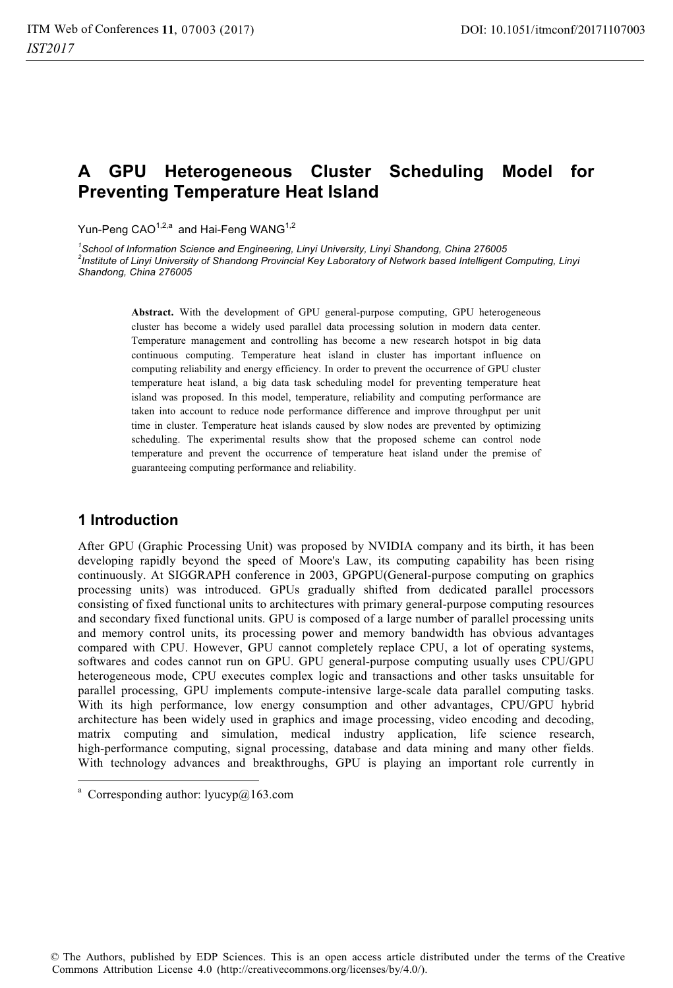# **A GPU Heterogeneous Cluster Scheduling Model for Preventing Temperature Heat Island**

Yun-Peng CAO<sup>1,2,a</sup> and Hai-Feng WANG<sup>1,2</sup>

<sup>1</sup> School of Information Science and Engineering, Linyi University, Linyi Shandong, China 276005<br><sup>2</sup>Institute of Linyi University of Shandong Provincial Koy Leberstary of Natural begad Intelligent ( *Institute of Linyi University of Shandong Provincial Key Laboratory of Network based Intelligent Computing, Linyi Shandong, China 276005*

> **Abstract.** With the development of GPU general-purpose computing, GPU heterogeneous cluster has become a widely used parallel data processing solution in modern data center. Temperature management and controlling has become a new research hotspot in big data continuous computing. Temperature heat island in cluster has important influence on computing reliability and energy efficiency. In order to prevent the occurrence of GPU cluster temperature heat island, a big data task scheduling model for preventing temperature heat island was proposed. In this model, temperature, reliability and computing performance are taken into account to reduce node performance difference and improve throughput per unit time in cluster. Temperature heat islands caused by slow nodes are prevented by optimizing scheduling. The experimental results show that the proposed scheme can control node temperature and prevent the occurrence of temperature heat island under the premise of guaranteeing computing performance and reliability.

## **1 Introduction**

After GPU (Graphic Processing Unit) was proposed by NVIDIA company and its birth, it has been developing rapidly beyond the speed of Moore's Law, its computing capability has been rising continuously. At SIGGRAPH conference in 2003, GPGPU(General-purpose computing on graphics processing units) was introduced. GPUs gradually shifted from dedicated parallel processors consisting of fixed functional units to architectures with primary general-purpose computing resources and secondary fixed functional units. GPU is composed of a large number of parallel processing units and memory control units, its processing power and memory bandwidth has obvious advantages compared with CPU. However, GPU cannot completely replace CPU, a lot of operating systems, softwares and codes cannot run on GPU. GPU general-purpose computing usually uses CPU/GPU heterogeneous mode, CPU executes complex logic and transactions and other tasks unsuitable for parallel processing, GPU implements compute-intensive large-scale data parallel computing tasks. With its high performance, low energy consumption and other advantages, CPU/GPU hybrid architecture has been widely used in graphics and image processing, video encoding and decoding, matrix computing and simulation, medical industry application, life science research, high-performance computing, signal processing, database and data mining and many other fields. With technology advances and breakthroughs, GPU is playing an important role currently in ---------------------------------------- ---------------------

<sup>&</sup>lt;sup>a</sup> Corresponding author: lyucyp@163.com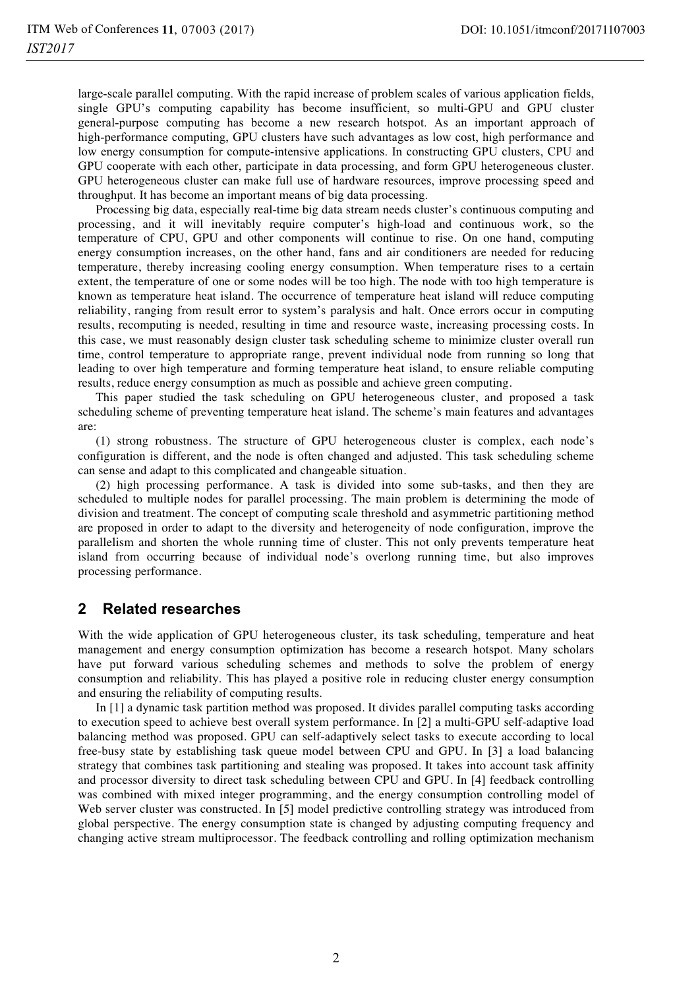large-scale parallel computing. With the rapid increase of problem scales of various application fields, single GPU's computing capability has become insufficient, so multi-GPU and GPU cluster general-purpose computing has become a new research hotspot. As an important approach of high-performance computing, GPU clusters have such advantages as low cost, high performance and low energy consumption for compute-intensive applications. In constructing GPU clusters, CPU and GPU cooperate with each other, participate in data processing, and form GPU heterogeneous cluster. GPU heterogeneous cluster can make full use of hardware resources, improve processing speed and throughput. It has become an important means of big data processing.

Processing big data, especially real-time big data stream needs cluster's continuous computing and processing, and it will inevitably require computer's high-load and continuous work, so the temperature of CPU, GPU and other components will continue to rise. On one hand, computing energy consumption increases, on the other hand, fans and air conditioners are needed for reducing temperature, thereby increasing cooling energy consumption. When temperature rises to a certain extent, the temperature of one or some nodes will be too high. The node with too high temperature is known as temperature heat island. The occurrence of temperature heat island will reduce computing reliability, ranging from result error to system's paralysis and halt. Once errors occur in computing results, recomputing is needed, resulting in time and resource waste, increasing processing costs. In this case, we must reasonably design cluster task scheduling scheme to minimize cluster overall run time, control temperature to appropriate range, prevent individual node from running so long that leading to over high temperature and forming temperature heat island, to ensure reliable computing results, reduce energy consumption as much as possible and achieve green computing.

This paper studied the task scheduling on GPU heterogeneous cluster, and proposed a task scheduling scheme of preventing temperature heat island. The scheme's main features and advantages are:

(1) strong robustness. The structure of GPU heterogeneous cluster is complex, each node's configuration is different, and the node is often changed and adjusted. This task scheduling scheme can sense and adapt to this complicated and changeable situation.

(2) high processing performance. A task is divided into some sub-tasks, and then they are scheduled to multiple nodes for parallel processing. The main problem is determining the mode of division and treatment. The concept of computing scale threshold and asymmetric partitioning method are proposed in order to adapt to the diversity and heterogeneity of node configuration, improve the parallelism and shorten the whole running time of cluster. This not only prevents temperature heat island from occurring because of individual node's overlong running time, but also improves processing performance.

#### **2**-**Related researches**

With the wide application of GPU heterogeneous cluster, its task scheduling, temperature and heat management and energy consumption optimization has become a research hotspot. Many scholars have put forward various scheduling schemes and methods to solve the problem of energy consumption and reliability. This has played a positive role in reducing cluster energy consumption and ensuring the reliability of computing results.

In [1] a dynamic task partition method was proposed. It divides parallel computing tasks according to execution speed to achieve best overall system performance. In [2] a multi-GPU self-adaptive load balancing method was proposed. GPU can self-adaptively select tasks to execute according to local free-busy state by establishing task queue model between CPU and GPU. In [3] a load balancing strategy that combines task partitioning and stealing was proposed. It takes into account task affinity and processor diversity to direct task scheduling between CPU and GPU. In [4] feedback controlling was combined with mixed integer programming, and the energy consumption controlling model of Web server cluster was constructed. In [5] model predictive controlling strategy was introduced from global perspective. The energy consumption state is changed by adjusting computing frequency and changing active stream multiprocessor. The feedback controlling and rolling optimization mechanism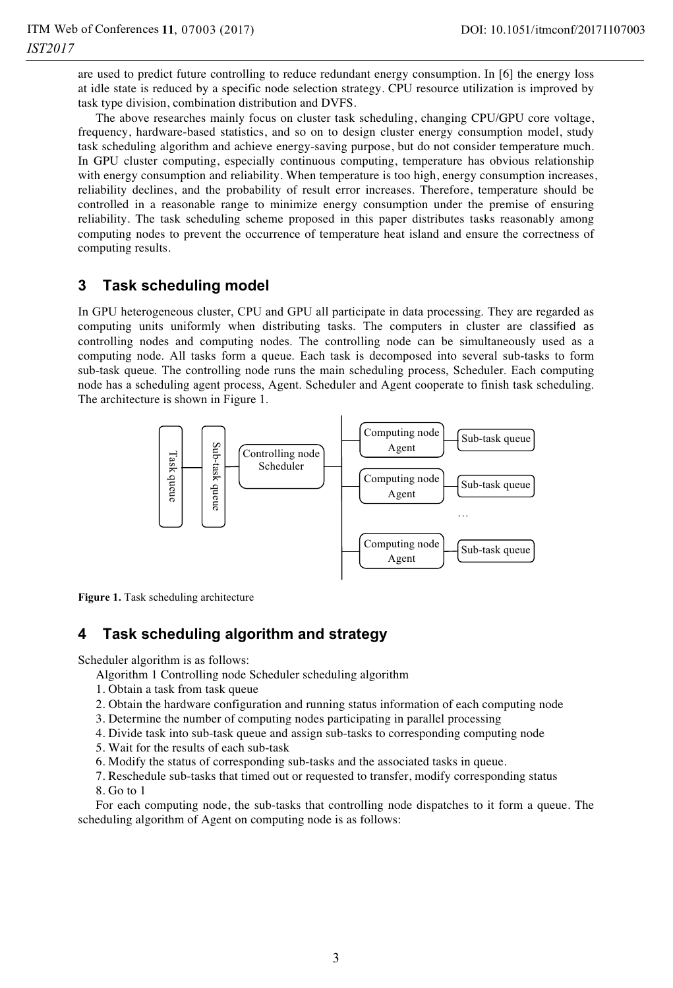are used to predict future controlling to reduce redundant energy consumption. In [6] the energy loss at idle state is reduced by a specific node selection strategy. CPU resource utilization is improved by task type division, combination distribution and DVFS.

The above researches mainly focus on cluster task scheduling, changing CPU/GPU core voltage, frequency, hardware-based statistics, and so on to design cluster energy consumption model, study task scheduling algorithm and achieve energy-saving purpose, but do not consider temperature much. In GPU cluster computing, especially continuous computing, temperature has obvious relationship with energy consumption and reliability. When temperature is too high, energy consumption increases, reliability declines, and the probability of result error increases. Therefore, temperature should be controlled in a reasonable range to minimize energy consumption under the premise of ensuring reliability. The task scheduling scheme proposed in this paper distributes tasks reasonably among computing nodes to prevent the occurrence of temperature heat island and ensure the correctness of computing results.

#### **3**-**Task scheduling model**

In GPU heterogeneous cluster, CPU and GPU all participate in data processing. They are regarded as computing units uniformly when distributing tasks. The computers in cluster are classified as controlling nodes and computing nodes. The controlling node can be simultaneously used as a computing node. All tasks form a queue. Each task is decomposed into several sub-tasks to form sub-task queue. The controlling node runs the main scheduling process, Scheduler. Each computing node has a scheduling agent process, Agent. Scheduler and Agent cooperate to finish task scheduling. The architecture is shown in Figure 1.



**Figure 1.** Task scheduling architecture

#### **4**-**Task scheduling algorithm and strategy**

Scheduler algorithm is as follows:

Algorithm 1 Controlling node Scheduler scheduling algorithm

- 1. Obtain a task from task queue
- 2. Obtain the hardware configuration and running status information of each computing node
- 3. Determine the number of computing nodes participating in parallel processing
- 4. Divide task into sub-task queue and assign sub-tasks to corresponding computing node
- 5. Wait for the results of each sub-task
- 6. Modify the status of corresponding sub-tasks and the associated tasks in queue.
- 7. Reschedule sub-tasks that timed out or requested to transfer, modify corresponding status 8. Go to 1

For each computing node, the sub-tasks that controlling node dispatches to it form a queue. The scheduling algorithm of Agent on computing node is as follows: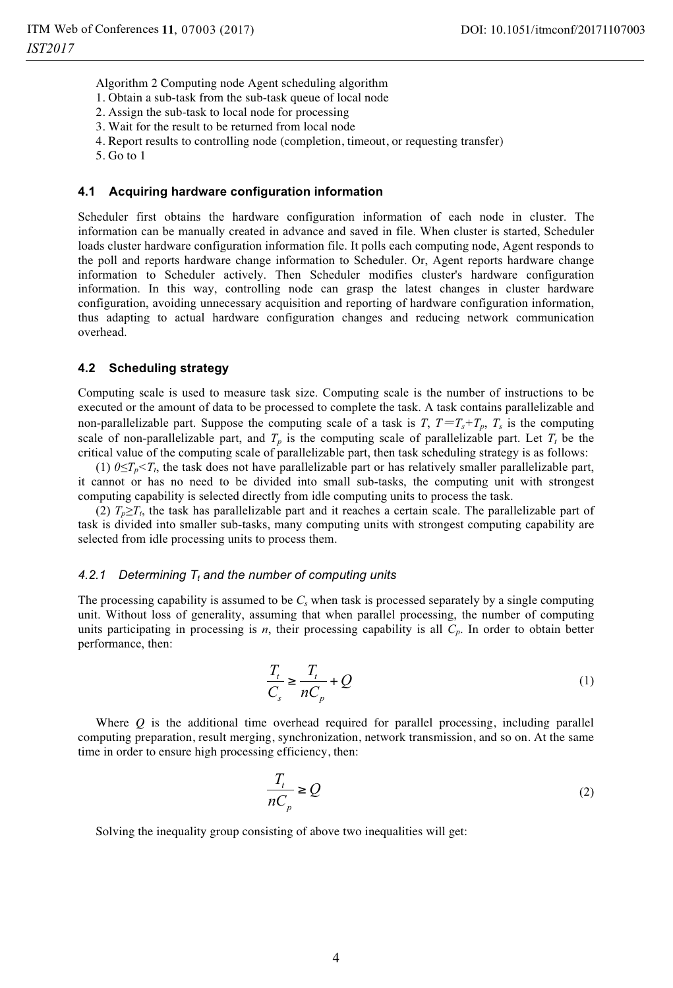Algorithm 2 Computing node Agent scheduling algorithm

- 1. Obtain a sub-task from the sub-task queue of local node
- 2. Assign the sub-task to local node for processing
- 3. Wait for the result to be returned from local node
- 4. Report results to controlling node (completion, timeout, or requesting transfer)
- 5. Go to 1

#### **4.1**-**Acquiring hardware configuration information**

Scheduler first obtains the hardware configuration information of each node in cluster. The information can be manually created in advance and saved in file. When cluster is started, Scheduler loads cluster hardware configuration information file. It polls each computing node, Agent responds to the poll and reports hardware change information to Scheduler. Or, Agent reports hardware change information to Scheduler actively. Then Scheduler modifies cluster's hardware configuration information. In this way, controlling node can grasp the latest changes in cluster hardware configuration, avoiding unnecessary acquisition and reporting of hardware configuration information, thus adapting to actual hardware configuration changes and reducing network communication overhead.

## **4.2**- **Scheduling strategy**

Computing scale is used to measure task size. Computing scale is the number of instructions to be executed or the amount of data to be processed to complete the task. A task contains parallelizable and non-parallelizable part. Suppose the computing scale of a task is *T*,  $T = T_s + T_p$ ,  $T_s$  is the computing scale of non-parallelizable part, and  $T_p$  is the computing scale of parallelizable part. Let  $T_t$  be the critical value of the computing scale of parallelizable part, then task scheduling strategy is as follows:

(1)  $0 \leq T_p \leq T_t$ , the task does not have parallelizable part or has relatively smaller parallelizable part, it cannot or has no need to be divided into small sub-tasks, the computing unit with strongest computing capability is selected directly from idle computing units to process the task.

(2)  $T_p \geq T_t$ , the task has parallelizable part and it reaches a certain scale. The parallelizable part of task is divided into smaller sub-tasks, many computing units with strongest computing capability are selected from idle processing units to process them.

### 4.2.1 Determining  $T_t$  and the number of computing units

The processing capability is assumed to be  $C_s$  when task is processed separately by a single computing unit. Without loss of generality, assuming that when parallel processing, the number of computing units participating in processing is *n*, their processing capability is all *Cp*. In order to obtain better performance, then:

$$
\frac{T_t}{C_s} \ge \frac{T_t}{nC_p} + Q \tag{1}
$$

Where *Q* is the additional time overhead required for parallel processing, including parallel computing preparation, result merging, synchronization, network transmission, and so on. At the same time in order to ensure high processing efficiency, then:

$$
\frac{T_i}{nC_p} \ge Q \tag{2}
$$

Solving the inequality group consisting of above two inequalities will get: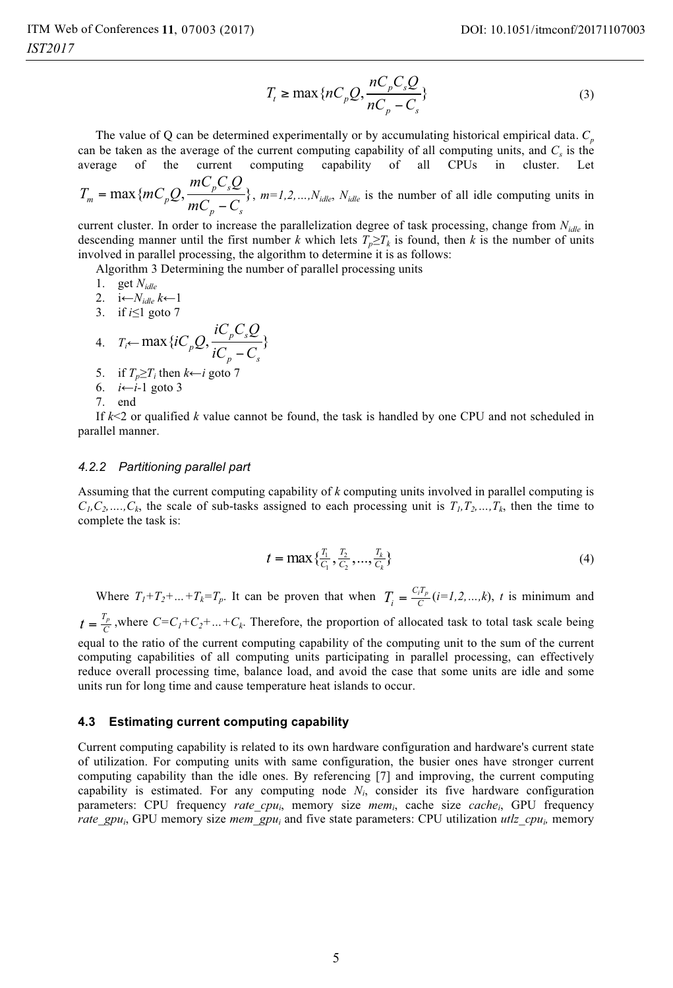$$
T_t \ge \max\{nC_p Q, \frac{nC_p C_s Q}{nC_p - C_s}\}\tag{3}
$$

The value of Q can be determined experimentally or by accumulating historical empirical data.  $C_p$ can be taken as the average of the current computing capability of all computing units, and  $C_s$  is the average of the current computing capability of all CPUs in cluster. Let average of the current computing capability of all CPUs in cluster. Let

$$
T_m = \max\{mC_pQ, \frac{mC_pC_sQ}{mC_p - C_s}\}, m=1,2,...,N_{idle}, N_{idle}
$$
 is the number of all idle computing units in

current cluster. In order to increase the parallelization degree of task processing, change from *Nidle* in descending manner until the first number *k* which lets  $T_p \geq T_k$  is found, then *k* is the number of units involved in parallel processing, the algorithm to determine it is as follows:

Algorithm 3 Determining the number of parallel processing units

- 1. get *Nidle*
- 2. i←*Nidle k*←1
- 3. if *i≤*1 goto 7

4. 
$$
T_i \leftarrow \max \{ iC_p Q, \frac{iC_p C_s Q}{iC_p - C_s} \}
$$

- 5. if  $T_p \geq T_i$  then  $k \leftarrow i$  goto 7
- 6. *i*←*i-*1 goto 3
- 7. end

If *k*<2 or qualified *k* value cannot be found, the task is handled by one CPU and not scheduled in parallel manner.

### *4.2.2 Partitioning parallel part*

Assuming that the current computing capability of *k* computing units involved in parallel computing is  $C_1, C_2, \ldots, C_k$ , the scale of sub-tasks assigned to each processing unit is  $T_1, T_2, \ldots, T_k$ , then the time to complete the task is:

$$
t = \max\{\frac{T_1}{C_1}, \frac{T_2}{C_2}, \dots, \frac{T_k}{C_k}\}\tag{4}
$$

Where  $T_1 + T_2 + ... + T_k = T_p$ . It can be proven that when  $T_i = \frac{C_i T_p}{C_i}$  (*i*=1,2, *i*, *k*), *t* is minimum and  $t = \frac{T_p}{C}$ , where  $C = C_1 + C_2 + ... + C_k$ . Therefore, the proportion of allocated task to total task scale being

equal to the ratio of the current computing capability of the computing unit to the sum of the current computing capabilities of all computing units participating in parallel processing, can effectively reduce overall processing time, balance load, and avoid the case that some units are idle and some units run for long time and cause temperature heat islands to occur.

#### **4.3**-**Estimating current computing capability**

Current computing capability is related to its own hardware configuration and hardware's current state of utilization. For computing units with same configuration, the busier ones have stronger current computing capability than the idle ones. By referencing [7] and improving, the current computing capability is estimated. For any computing node *Ni*, consider its five hardware configuration parameters: CPU frequency *rate\_cpui*, memory size *memi*, cache size *cachei*, GPU frequency *rate\_gpui*, GPU memory size *mem\_gpui* and five state parameters: CPU utilization *utlz\_cpui,* memory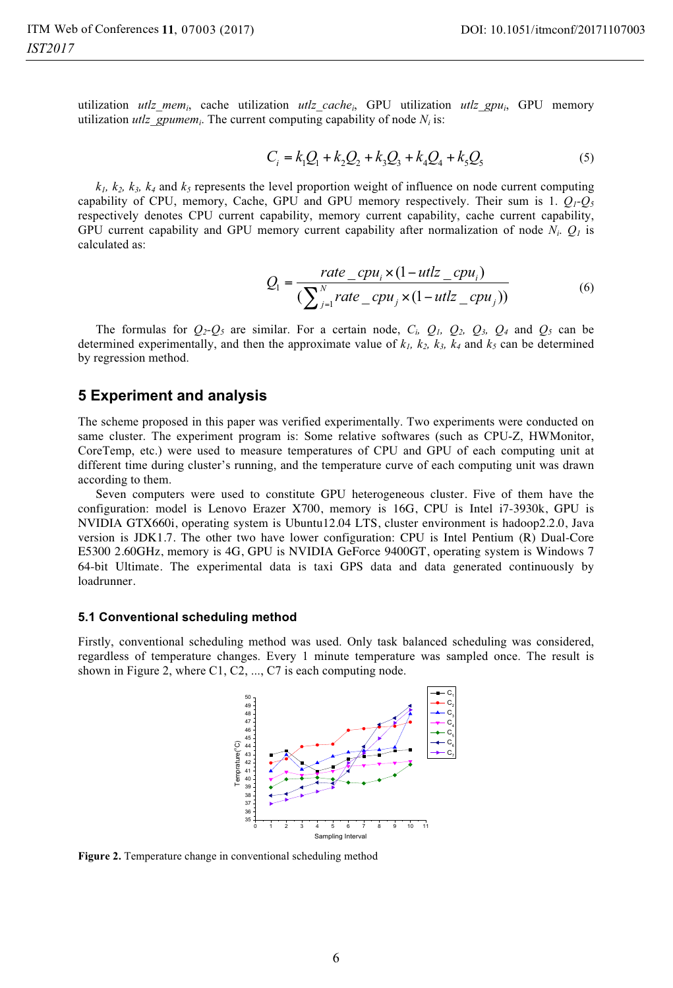utilization *utlz\_memi*, cache utilization *utlz\_cachei*, GPU utilization *utlz\_gpui*, GPU memory utilization *utlz* gpumem. The current computing capability of node  $N_i$  is:

$$
C_i = k_1 Q_1 + k_2 Q_2 + k_3 Q_3 + k_4 Q_4 + k_5 Q_5 \tag{5}
$$

 $k_1, k_2, k_3, k_4$  and  $k_5$  represents the level proportion weight of influence on node current computing capability of CPU, memory, Cache, GPU and GPU memory respectively. Their sum is 1.  $O<sub>1</sub>$ - $O<sub>5</sub>$ respectively denotes CPU current capability, memory current capability, cache current capability, GPU current capability and GPU memory current capability after normalization of node  $N_i$ .  $Q_i$  is calculated as:

$$
Q_{1} = \frac{rate\_cpu_i \times (1 - utlz\_cpu_i)}{\left(\sum_{j=1}^{N} rate\_cpu_j \times (1 - utlz\_cpu_j)\right)}
$$
(6)

The formulas for  $Q_2-Q_5$  are similar. For a certain node,  $C_i$ ,  $Q_1$ ,  $Q_2$ ,  $Q_3$ ,  $Q_4$  and  $Q_5$  can be determined experimentally, and then the approximate value of  $k_1$ ,  $k_2$ ,  $k_3$ ,  $k_4$  and  $k_5$  can be determined by regression method.

## **5 Experiment and analysis**

The scheme proposed in this paper was verified experimentally. Two experiments were conducted on same cluster. The experiment program is: Some relative softwares (such as CPU-Z, HWMonitor, CoreTemp, etc.) were used to measure temperatures of CPU and GPU of each computing unit at different time during cluster's running, and the temperature curve of each computing unit was drawn according to them.

Seven computers were used to constitute GPU heterogeneous cluster. Five of them have the configuration: model is Lenovo Erazer X700, memory is 16G, CPU is Intel i7-3930k, GPU is NVIDIA GTX660i, operating system is Ubuntu12.04 LTS, cluster environment is hadoop2.2.0, Java version is JDK1.7. The other two have lower configuration: CPU is Intel Pentium (R) Dual-Core E5300 2.60GHz, memory is 4G, GPU is NVIDIA GeForce 9400GT, operating system is Windows 7 64-bit Ultimate. The experimental data is taxi GPS data and data generated continuously by loadrunner.

### **5.1 Conventional scheduling method**

Firstly, conventional scheduling method was used. Only task balanced scheduling was considered, regardless of temperature changes. Every 1 minute temperature was sampled once. The result is shown in Figure 2, where C1, C2, ..., C7 is each computing node.



**Figure 2.** Temperature change in conventional scheduling method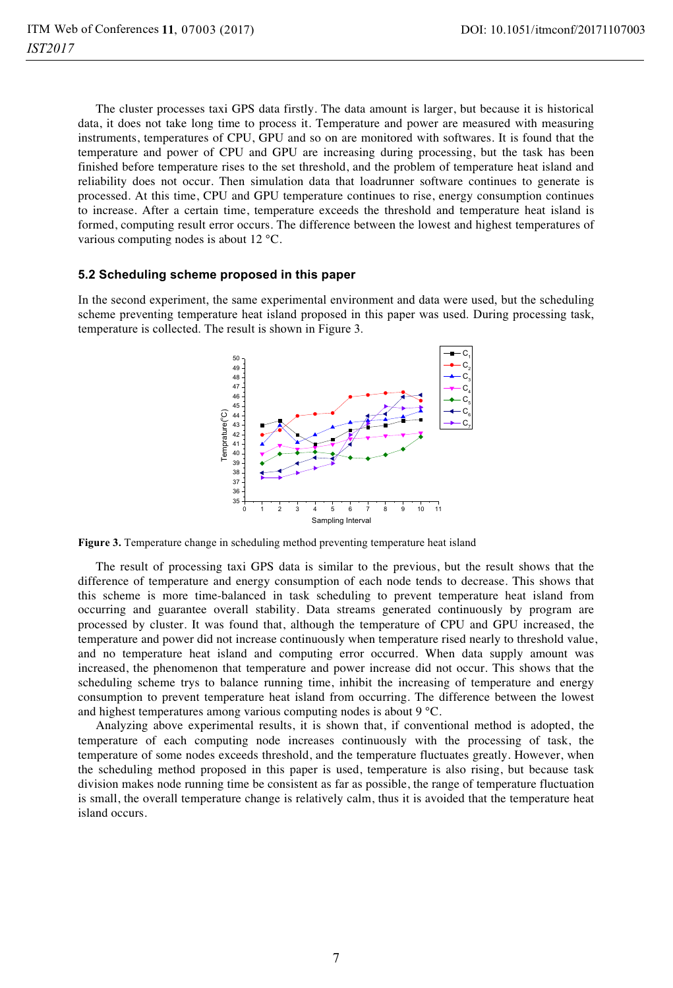The cluster processes taxi GPS data firstly. The data amount is larger, but because it is historical data, it does not take long time to process it. Temperature and power are measured with measuring instruments, temperatures of CPU, GPU and so on are monitored with softwares. It is found that the temperature and power of CPU and GPU are increasing during processing, but the task has been finished before temperature rises to the set threshold, and the problem of temperature heat island and reliability does not occur. Then simulation data that loadrunner software continues to generate is processed. At this time, CPU and GPU temperature continues to rise, energy consumption continues to increase. After a certain time, temperature exceeds the threshold and temperature heat island is formed, computing result error occurs. The difference between the lowest and highest temperatures of various computing nodes is about 12 °C.

## **5.2 Scheduling scheme proposed in this paper**

In the second experiment, the same experimental environment and data were used, but the scheduling scheme preventing temperature heat island proposed in this paper was used. During processing task, temperature is collected. The result is shown in Figure 3.



**Figure 3.** Temperature change in scheduling method preventing temperature heat island

The result of processing taxi GPS data is similar to the previous, but the result shows that the difference of temperature and energy consumption of each node tends to decrease. This shows that this scheme is more time-balanced in task scheduling to prevent temperature heat island from occurring and guarantee overall stability. Data streams generated continuously by program are processed by cluster. It was found that, although the temperature of CPU and GPU increased, the temperature and power did not increase continuously when temperature rised nearly to threshold value, and no temperature heat island and computing error occurred. When data supply amount was increased, the phenomenon that temperature and power increase did not occur. This shows that the scheduling scheme trys to balance running time, inhibit the increasing of temperature and energy consumption to prevent temperature heat island from occurring. The difference between the lowest and highest temperatures among various computing nodes is about 9 °C.

Analyzing above experimental results, it is shown that, if conventional method is adopted, the temperature of each computing node increases continuously with the processing of task, the temperature of some nodes exceeds threshold, and the temperature fluctuates greatly. However, when the scheduling method proposed in this paper is used, temperature is also rising, but because task division makes node running time be consistent as far as possible, the range of temperature fluctuation is small, the overall temperature change is relatively calm, thus it is avoided that the temperature heat island occurs.